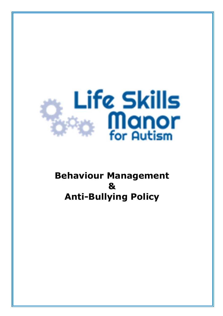

# **Behaviour Management & Anti-Bullying Policy**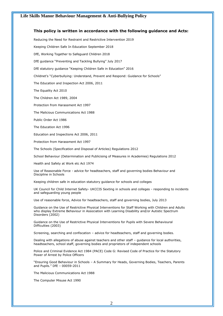### **This policy is written in accordance with the following guidance and Acts:**

Reducing the Need for Restraint and Restrictive Intervention 2019

Keeping Children Safe In Education September 2018

DfE, Working Together to Safeguard Children 2018

DfE guidance "Preventing and Tackling Bullying" July 2017

DfE statutory guidance "Keeping Children Safe in Education" 2016

Childnet's "Cyberbullying: Understand, Prevent and Respond: Guidance for Schools"

The Education and Inspection Act 2006, 2011

The Equality Act 2010

The Children Act 1989, 2004

Protection from Harassment Act 1997

The Malicious Communications Act 1988

Public Order Act 1986

The Education Act 1996

Education and Inspections Act 2006, 2011

Protection from Harassment Act 1997

The Schools (Specification and Disposal of Articles) Regulations 2012

School Behaviour (Determination and Publicising of Measures in Academies) Regulations 2012

Health and Safety at Work etc Act 1974

Use of Reasonable Force - advice for headteachers, staff and governing bodies Behaviour and Discipline in Schools

Keeping children safe in education statutory guidance for schools and colleges

UK Council for Child Internet Safety- UKCCIS Sexting in schools and colleges - responding to incidents and safeguarding young people

Use of reasonable force, Advice for headteachers, staff and governing bodies, July 2013

Guidance on the Use of Restrictive Physical Interventions for Staff Working with Children and Adults who display Extreme Behaviour in Association with Learning Disability and/or Autistic Spectrum Disorders (2002)

Guidance on the Use of Restrictive Physical Interventions for Pupils with Severe Behavioural Difficulties (2003)

Screening, searching and confiscation – advice for headteachers, staff and governing bodies.

Dealing with allegations of abuse against teachers and other staff – guidance for local authorities, headteachers, school staff, governing bodies and proprietors of independent schools

Police and Criminal Evidence Act 1984 (PACE) Code G: Revised Code of Practice for the Statutory Power of Arrest by Police Officers

"Ensuring Good Behaviour in Schools – A Summary for Heads, Governing Bodies, Teachers, Parents and Pupils." DfE – 00059-2011

The Malicious Communications Act 1988

The Computer Misuse Act 1990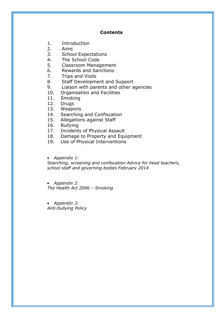# **Contents**

- 1. Introduction
- 2. Aims
- 3. School Expectations
- 4. The School Code
- 5. Classroom Management
- 6. Rewards and Sanctions
- 7. Trips and Visits
- 8. Staff Development and Support
- 9. Liaison with parents and other agencies
- 10. Organisation and Facilities
- 11. Smoking
- 12. Drugs
- 13. Weapons
- 14. Searching and Confiscation
- 15. Allegations against Staff
- 16. Bullying
- 17. Incidents of Physical Assault
- 18. Damage to Property and Equipment
- 19. Use of Physical Interventions

• *Appendix 1:* 

*Searching, screening and confiscation Advice for head teachers, school staff and governing bodies February 2014*

• *Appendix 2: The Health Act 2006 – Smoking*

• *Appendix 3: Anti-bullying Policy*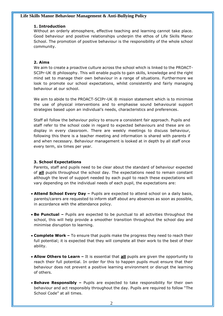### **1. Introduction**

Without an orderly atmosphere, effective teaching and learning cannot take place. Good behaviour and positive relationships underpin the ethos of Life Skills Manor School. The promotion of positive behaviour is the responsibility of the whole school community.

### **2. Aims**

We aim to create a proactive culture across the school which is linked to the PROACT-SCIPr-UK ® philosophy. This will enable pupils to gain skills, knowledge and the right mind set to manage their own behaviour in a range of situations. Furthermore we look to promote our school expectations, whilst consistently and fairly managing behaviour at our school.

We aim to abide to the PROACT-SCIPr-UK ® mission statement which is to minimise the use of physical interventions and to emphasise sound behavioural support strategies based upon an individual's needs, characteristics and preferences.

Staff all follow the behaviour policy to ensure a consistent fair approach. Pupils and staff refer to the school code in regard to expected behaviours and these are on display in every classroom. There are weekly meetings to discuss behaviour, following this there is a teacher meeting and information is shared with parents if and when necessary. Behaviour management is looked at in depth by all staff once every term, six times per year.

### **3. School Expectations**

Parents, staff and pupils need to be clear about the standard of behaviour expected of **all** pupils throughout the school day. The expectations need to remain constant although the level of support needed by each pupil to reach these expectations will vary depending on the individual needs of each pupil, the expectations are:

- **Attend School Every Day –** Pupils are expected to attend school on a daily basis, parents/carers are requested to inform staff about any absences as soon as possible, in accordance with the attendance policy.
- **Be Punctual –** Pupils are expected to be punctual to all activities throughout the school, this will help provide a smoother transition throughout the school day and minimise disruption to learning.
- **Complete Work –** To ensure that pupils make the progress they need to reach their full potential; it is expected that they will complete all their work to the best of their ability.
- **Allow Others to Learn –** It is essential that **all** pupils are given the opportunity to reach their full potential. In order for this to happen pupils must ensure that their behaviour does not prevent a positive learning environment or disrupt the learning of others.
- **Behave Responsibly –** Pupils are expected to take responsibility for their own behaviour and act responsibly throughout the day. Pupils are required to follow "The School Code" at all times.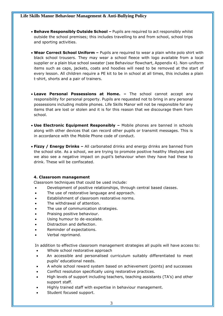- **Behave Responsibly Outside School –** Pupils are required to act responsibly whilst outside the school premises; this includes travelling to and from school, school trips and sporting activities.
- **Wear Correct School Uniform –** Pupils are required to wear a plain white polo shirt with black school trousers. They may wear a school fleece with logo available from a local supplier or a plain blue school sweater (see Behaviour flowchart, Appendix 4). Non-uniform items such as caps, jackets, coats and hoodies will need to be removed at the start of every lesson. All children require a PE kit to be in school at all times, this includes a plain t-shirt, shorts and a pair of trainers.
- **Leave Personal Possessions at Home. –** The school cannot accept any responsibility for personal property. Pupils are requested not to bring in any personal possessions including mobile phones. Life Skills Manor will not be responsible for any items that are lost or stolen and it is for this reason that we discourage them from school.
- **Use Electronic Equipment Responsibly –** Mobile phones are banned in schools along with other devices that can record other pupils or transmit messages. This is in accordance with the Mobile Phone code of conduct.
- **Fizzy / Energy Drinks –** All carbonated drinks and energy drinks are banned from the school site. As a school, we are trying to promote positive healthy lifestyles and we also see a negative impact on pupil's behaviour when they have had these to drink. These will be confiscated.

### **4. Classroom management**

Classroom techniques that could be used include:

- Development of positive relationships, through central based classes.
- The use of restorative language and approach.
- Establishment of classroom restorative norms.
- The withdrawal of attention.
- The use of communication strategies.
- Praising positive behaviour.
- Using humour to de-escalate.
- Distraction and deflection.
- Reminder of expectations.
- Verbal reprimand.

In addition to effective classroom management strategies all pupils will have access to:

- Whole school restorative approach
- An accessible and personalised curriculum suitably differentiated to meet pupils' educational needs.
- A whole school reward system based on achievement (points) and successes
- Conflict resolution specifically using restorative practices.
- High levels of support including teachers, teaching assistants (TA's) and other support staff.
- Highly trained staff with expertise in behaviour management.
- Student focused support.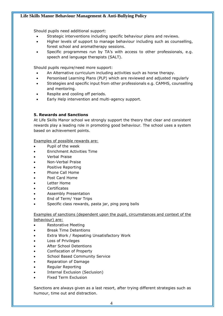Should pupils need additional support:

- Strategic interventions including specific behaviour plans and reviews.
- Higher levels of support to manage behaviour including such as counselling, forest school and aromatherapy sessions.
- Specific programmes run by TA's with access to other professionals, e.g. speech and language therapists (SALT).

Should pupils require/need more support:

- An Alternative curriculum including activities such as horse therapy.
- Personised Learning Plans (PLP) which are reviewed and adjusted regularly
- Strategies and specific input from other professionals e.g. CAMHS, counselling and mentoring.
- Respite and cooling off periods.
- Early Help intervention and multi-agency support.

# **5. Rewards and Sanctions**

At Life Skills Manor school we strongly support the theory that clear and consistent rewards play a leading role in promoting good behaviour. The school uses a system based on achievement points.

Examples of possible rewards are:

- Pupil of the week
- Enrichment Activities Time
- Verbal Praise
- Non-Verbal Praise
- Positive Reporting
- Phone Call Home
- Post Card Home
- Letter Home
- **Certificates**
- Assembly Presentation
- End of Term/ Year Trips
- Specific class rewards, pasta jar, ping pong balls

Examples of sanctions (dependent upon the pupil, circumstances and context of the behaviour) are:

- Restorative Meeting
- Break Time Detentions
- Extra Work / Repeating Unsatisfactory Work
- Loss of Privileges
- After School Detentions
- Confiscation of Property
- School Based Community Service
- Reparation of Damage
- Regular Reporting
- Internal Exclusion (Seclusion)
- Fixed Term Exclusion

Sanctions are always given as a last resort, after trying different strategies such as humour, time out and distraction.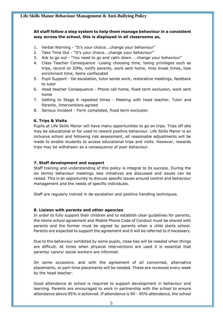# **All staff follow a step system to help them manage behaviour in a consistent way across the school, this is displayed in all classrooms as,**

- 1. Verbal Warning "It's your choice….change your behaviour"
- 2. Take Time Out "It's your choice....change your behaviour"
- 3. Ask to go out "You need to go and calm down…. change your behaviour"
- 4. Class Teacher Consequence -Losing choosing time, losing privileges such as trips, record on SIMs, notify parents, work sent home, miss break times, lose enrichment time, items confiscated
- 5. Pupil Support De-escalation, tutor sends work, restorative meetings, feedback to tutor
- 6. Head teacher Consequence Phone call home, fixed term exclusion, work sent home
- 7. Getting to Stage 6 repeated times Meeting with head teacher, Tutor and Parents, Interventions agreed
- 8. Serious Incident Form completed, fixed term exclusion

### **6. Trips & Visits**

Pupils at Life Skills Manor will have many opportunities to go on trips. Trips off site may be educational or for used to reward positive behaviour. Life Skills Manor is an inclusive school and following risk assessment, all reasonable adjustments will be made to enable students to access educational trips and visits. However, rewards trips may be withdrawn as a consequence of poor behaviour.

### **7. Staff development and support**

Staff training and understanding of this policy is integral to its success. During the six termly behaviour meetings new initiatives are discussed and issues can be raised. This is an opportunity to discuss specific issues around control and behaviour management and the needs of specific individuals.

Staff are regularly trained in de-escalation and positive handling techniques.

### **8. Liaison with parents and other agencies**

In order to fully support their children and to establish clear guidelines for parents, the Home school agreement and Mobile Phone Code of Conduct must be shared with parents and the former must be signed by parents when a child starts school. Parents are expected to support the agreement and it will be referred to if necessary.

Due to the behaviour exhibited by some pupils, close ties will be needed when things are difficult. At times when physical interventions are used it is essential that parents/ carers/ social workers are informed.

On some occasions, and with the agreement of all concerned, alternative placements, or part-time placements will be needed. These are reviewed every week by the head teacher.

Good attendance at school is required to support development in behaviour and learning. Parents are encouraged to work in partnership with the school to ensure attendance above 95% is achieved. If attendance is 90 - 95% attendance, the school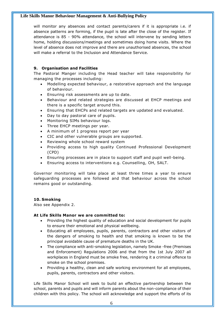will monitor any absences and contact parents/carers if it is appropriate i.e. if absence patterns are forming, if the pupil is late after the close of the register. If attendance is 85 - 90% attendance, the school will intervene by sending letters home, holding discussions/meetings and sometimes doing home visits. Where the level of absence does not improve and there are unauthorised absences, the school will make a referral to the Inclusion and Attendance Service.

# **9. Organisation and Facilities**

The Pastoral Manger including the Head teacher will take responsibility for managing the processes including:

- Modelling expected behaviour, a restorative approach and the language of behaviour.
- Ensuring risk assessments are up to date.
- Behaviour and related strategies are discussed at EHCP meetings and there is a specific target around this.
- Ensuring that EHCPs and related targets are updated and evaluated.
- Day to day pastoral care of pupils.
- Monitoring SIMs behaviour logs.
- Three EHCP meetings per year.
- A minimum of 1 progress report per year
- CIC and other vulnerable groups are supported.
- Reviewing whole school reward system
- Providing access to high quality Continued Professional Development (CPD)
- Ensuring processes are in place to support staff and pupil well-being.
- Ensuring access to interventions e.g. Counselling, OH, SALT.

Governor monitoring will take place at least three times a year to ensure safeguarding processes are followed and that behaviour across the school remains good or outstanding.

### **10. Smoking**

Also see Appendix 2.

### **At Life Skills Manor we are committed to:**

- Providing the highest quality of education and social development for pupils to ensure their emotional and physical wellbeing.
- Educating all employees, pupils, parents, contractors and other visitors of the dangers of smoking to health and that smoking is known to be the principal avoidable cause of premature deaths in the UK.
- The compliance with anti-smoking legislation, namely Smoke -free (Premises and Enforcement) Regulations 2006 and that from the 1st July 2007 all workplaces in England must be smoke free, rendering it a criminal offence to smoke on the school premises.
- Providing a healthy, clean and safe working environment for all employees, pupils, parents, contractors and other visitors.

Life Skills Manor School will seek to build an effective partnership between the school, parents and pupils and will inform parents about the non-compliance of their children with this policy. The school will acknowledge and support the efforts of its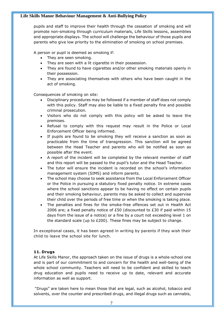pupils and staff to improve their health through the cessation of smoking and will promote non-smoking through curriculum materials, Life Skills lessons, assemblies and appropriate displays. The school will challenge the behaviour of those pupils and parents who give low priority to the elimination of smoking on school premises.

A person or pupil is deemed as smoking if:

- They are seen smoking.
- They are seen with a lit cigarette in their possession.
- They are found to have cigarettes and/or other smoking materials openly in their possession.
- They are associating themselves with others who have been caught in the act of smoking.

Consequences of smoking on site:

- Disciplinary procedures may be followed if a member of staff does not comply with this policy. Staff may also be liable to a fixed penalty fine and possible criminal prosecution.
- Visitors who do not comply with this policy will be asked to leave the premises.
- Refusal to comply with this request may result in the Police or Local Enforcement Officer being informed.
- If pupils are found to be smoking they will receive a sanction as soon as practicable from the time of transgression. This sanction will be agreed between the Head Teacher and parents who will be notified as soon as possible after the event.
- A report of the incident will be completed by the relevant member of staff and this report will be passed to the pupil's tutor and the Head Teacher.
- The tutor will ensure the incident is recorded on the school's information management system (SIMS) and inform parents.
- The school may choose to seek assistance from the Local Enforcement Officer or the Police in pursuing a statutory fixed penalty notice. In extreme cases where the school sanctions appear to be having no effect on certain pupils and their smoking behaviour, parents may be asked to collect and supervise their child over the periods of free time or when the smoking is taking place.
- The penalties and fines for the smoke-free offences set out in Health Act 2006 are; a fixed penalty notice of £50 (discounted to £30 if paid within 15 days from the issue of a notice) or a fine by a court not exceeding level 1 on the standard scale (up to  $E200$ ). These fines may be subject to change.

In exceptional cases, it has been agreed in writing by parents if they wish their child to leave the school site for lunch.

### **11. Drugs**

At Life Skills Manor, the approach taken on the issue of drugs is a whole-school one and is part of our commitment to and concern for the health and well-being of the whole school community. Teachers will need to be confident and skilled to teach drug education and pupils need to receive up to date, relevant and accurate information as well as support.

"Drugs" are taken here to mean those that are legal, such as alcohol, tobacco and solvents, over the counter and prescribed drugs, and illegal drugs such as cannabis,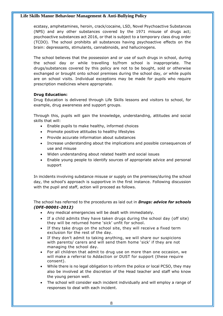ecstasy, amphetamines, heroin, crack/cocaine, LSD, Novel Psychoactive Substances (NPS) and any other substances covered by the 1971 misuse of drugs act; psychoactive substances act 2016, or that is subject to a temporary class drug order (TCDO). The school prohibits all substances having psychoactive effects on the brain: depressants, stimulants, cannabinoids, and hallucinogens.

The school believes that the possession and or use of such drugs in school, during the school day or while travelling to/from school is inappropriate. The drugs/substances covered by this policy are not to be bought, sold or otherwise exchanged or brought onto school premises during the school day, *or* while pupils are on school visits. Individual exceptions may be made for pupils who require prescription medicines where appropriate.

# **Drug Education:**

Drug Education is delivered through Life Skills lessons and visitors to school, for example, drug awareness and support groups.

Through this, pupils will gain the knowledge, understanding, attitudes and social skills that will:

- Enable pupils to make healthy, informed choices
- Promote positive attitudes to healthy lifestyles
- Provide accurate information about substances
- Increase understanding about the implications and possible consequences of use and misuse
- Widen understanding about related health and social issues
- Enable young people to identify sources of appropriate advice and personal support

In incidents involving substance misuse or supply on the premises/during the school day, the school's approach is supportive in the first instance. Following discussion with the pupil and staff, action will proceed as follows.

The school has referred to the procedures as laid out in *Drugs: advice for schools (DFE-00001-2012)*

- Any medical emergencies will be dealt with immediately.
- If a child admits they have taken drugs during the school day (off site) they will be returned home 'sick' unfit for school.
- If they take drugs on the school site, they will receive a fixed term exclusion for the rest of the day.
- If they don't admit to taking anything, we will share our suspicions with parents/ carers and will send them home 'sick' if they are not managing the school day.
- For all children that admit to drug use on more than one occasion, we will make a referral to Addaction or DUST for support (these require consent).
- While there is no legal obligation to inform the police or local PCSO, they may also be involved at the discretion of the Head teacher and staff who know the young person well.
- The school will consider each incident individually and will employ a range of responses to deal with each incident.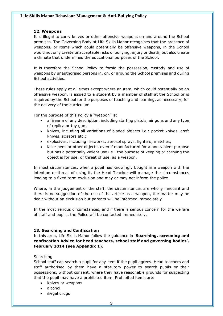### **12. Weapons**

It is illegal to carry knives or other offensive weapons on and around the School premises. The Governing Body at Life Skills Manor recognises that the presence of weapons, or items which could potentially be offensive weapons, in the School would not only create unacceptable risks of bullying, injury or death, but also create a climate that undermines the educational purposes of the School.

It is therefore the School Policy to forbid the possession, custody and use of weapons by unauthorised persons in, on, or around the School premises and during School activities.

These rules apply at all times except where an item, which could potentially be an offensive weapon, is issued to a student by a member of staff at the School or is required by the School for the purposes of teaching and learning, as necessary, for the delivery of the curriculum.

For the purpose of this Policy a "weapon" is:

- a firearm of any description, including starting pistols, air guns and any type of replica or toy gun;
- knives, including all variations of bladed objects i.e.: pocket knives, craft knives, scissors etc.;
- explosives, including fireworks, aerosol sprays, lighters, matches;
- laser pens or other objects, even if manufactured for a non-violent purpose but has a potentially violent use i.e.: the purpose of keeping or carrying the object is for use, or threat of use, as a weapon.

In most circumstances, when a pupil has knowingly bought in a weapon with the intention or threat of using it, the Head Teacher will manage the circumstances leading to a fixed term exclusion and may or may not inform the police.

Where, in the judgement of the staff, the circumstances are wholly innocent and there is no suggestion of the use of the article as a weapon, the matter may be dealt without an exclusion but parents will be informed immediately.

In the most serious circumstances, and if there is serious concern for the welfare of staff and pupils, the Police will be contacted immediately.

### **13. Searching and Confiscation**

In this area, Life Skills Manor follow the guidance in '**Searching, screening and confiscation Advice for head teachers, school staff and governing bodies', February 2014 (see Appendix 1).**

### Searching

School staff can search a pupil for any item if the pupil agrees. Head teachers and staff authorised by them have a statutory power to search pupils or their possessions, without consent, where they have reasonable grounds for suspecting that the pupil may have a prohibited item. Prohibited items are:

- knives or weapons
- alcohol
- illegal drugs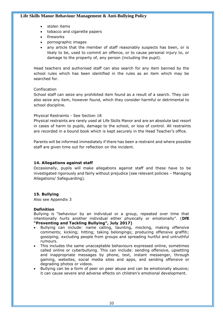- stolen items
- tobacco and cigarette papers
- **fireworks**
- pornographic images
- any article that the member of staff reasonably suspects has been, or is likely to be, used to commit an offence, or to cause personal injury to, or damage to the property of, any person (including the pupil).

Head teachers and authorised staff can also search for any item banned by the school rules which has been identified in the rules as an item which may be searched for.

### Confiscation

School staff can seize any prohibited item found as a result of a search. They can also seize any item, however found, which they consider harmful or detrimental to school discipline.

### Physical Restraints - See Section 18

Physical restraints are rarely used at Life Skills Manor and are an absolute last resort in cases of harm to pupils, damage to the school, or loss of control. All restraints are recorded in a bound book which is kept securely in the Head Teacher's office.

Parents will be informed immediately if there has been a restraint and where possible staff are given time out for reflection on the incident.

### **14. Allegations against staff**

Occasionally, pupils will make allegations against staff and these have to be investigated rigorously and fairly without prejudice (see relevant policies – Managing Allegations/ Safeguarding).

### **15. Bullying**

Also see Appendix 3

### **Definition**

Bullying is "behaviour by an individual or a group, repeated over time that intentionally hurts another individual either physically or emotionally". (**DfE "Preventing and Tackling Bullying", July 2017)**

- Bullying can include: name calling, taunting, mocking, making offensive comments; kicking; hitting; taking belongings; producing offensive graffiti; gossiping; excluding people from groups and spreading hurtful and untruthful rumours.
- This includes the same unacceptable behaviours expressed online, sometimes called online or cyberbullying. This can include: sending offensive, upsetting and inappropriate messages by phone, text, instant messenger, through gaming, websites, social media sites and apps, and sending offensive or degrading photos or videos.
- Bullying can be a form of peer on peer abuse and can be emotionally abusive; it can cause severe and adverse effects on children's emotional development.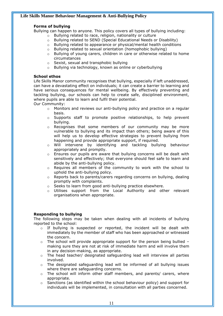# **Forms of bullying**

Bullying can happen to anyone. This policy covers all types of bullying including:

- o Bullying related to race, religion, nationality or culture
- o Bullying related to SEND (Special Educational Needs or Disability)
- o Bullying related to appearance or physical/mental health conditions
- o Bullying related to sexual orientation (homophobic bullying)
- $\circ$  Bullying of young carers, children in care or otherwise related to home circumstances
- o Sexist, sexual and transphobic bullying
- o Bullying via technology, known as online or cyberbullying

### **School ethos**

Life Skills Manor community recognises that bullying, especially if left unaddressed, can have a devastating effect on individuals; it can create a barrier to learning and have serious consequences for mental wellbeing. By effectively preventing and tackling bullying, our schools can help to create safe, disciplined environment, where pupils are able to learn and fulfil their potential.

Our Community:

- o Monitors and reviews our anti-bullying policy and practice on a regular basis.
- $\circ$  Supports staff to promote positive relationships, to help prevent bullying.
- o Recognises that some members of our community may be more vulnerable to bullying and its impact than others; being aware of this will help us to develop effective strategies to prevent bullying from happening and provide appropriate support, if required.
- o Will intervene by identifying and tackling bullying behaviour appropriately and promptly.
- o Ensures our pupils are aware that bullying concerns will be dealt with sensitively and effectively; that everyone should feel safe to learn and abide by the anti-bullying policy.
- o Requires all members of the community to work with the school to uphold the anti-bullying policy.
- $\circ$  Reports back to parents/carers regarding concerns on bullying, dealing promptly with complaints.
- o Seeks to learn from good anti-bullying practice elsewhere.
- $\circ$  Utilises support from the Local Authority and other relevant organisations when appropriate.

### **Responding to bullying**

The following steps may be taken when dealing with all incidents of bullying reported to the school:

- $\circ$  If bullying is suspected or reported, the incident will be dealt with immediately by the member of staff who has been approached or witnessed the concern.
- $\circ$  The school will provide appropriate support for the person being bullied making sure they are not at risk of immediate harm and will involve them in any decision-making, as appropriate.
- $\circ$  The head teacher/ designated safeguarding lead will interview all parties involved.
- o The designated safeguarding lead will be informed of all bullying issues where there are safeguarding concerns.
- $\circ$  The school will inform other staff members, and parents/ carers, where appropriate.
- $\circ$  Sanctions (as identified within the school behaviour policy) and support for individuals will be implemented, in consultation with all parties concerned.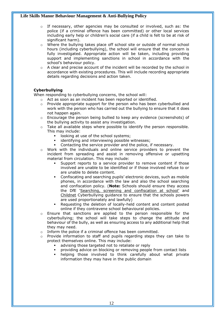- o If necessary, other agencies may be consulted or involved, such as: the police (if a criminal offence has been committed) or other local services including early help or children's social care (if a child is felt to be at risk of significant harm).
- $\circ$  Where the bullying takes place off school site or outside of normal school hours (including cyberbullying), the school will ensure that the concern is fully investigated. Appropriate action will be taken, including providing support and implementing sanctions in school in accordance with the school's behaviour policy.
- $\circ$  A clear and precise account of the incident will be recorded by the school in accordance with existing procedures. This will include recording appropriate details regarding decisions and action taken.

# **Cyberbullying**

When responding to cyberbullying concerns, the school will:

- o Act as soon as an incident has been reported or identified.
- $\circ$  Provide appropriate support for the person who has been cyberbullied and work with the person who has carried out the bullying to ensure that it does not happen again.
- $\circ$  Encourage the person being bullied to keep any evidence (screenshots) of the bullying activity to assist any investigation.
- $\circ$  Take all available steps where possible to identify the person responsible. This may include:
	- looking at use of the school systems;
	- identifying and interviewing possible witnesses;
	- Contacting the service provider and the police, if necessary.
- $\circ$  Work with the individuals and online service providers to prevent the incident from spreading and assist in removing offensive or upsetting material from circulation. This may include:
	- Support reports to a service provider to remove content if those involved are unable to be identified or if those involved refuse to or are unable to delete content.
	- Confiscating and searching pupils' electronic devices, such as mobile phones, in accordance with the law and also the school searching and confiscation policy. (**Note:** Schools should ensure they access the DfE ['Searching, screening and confiscation at school'](https://www.gov.uk/government/publications/searching-screening-and-confiscation) and [Childnet](http://www.childnet.com/resources/cyberbullying-guidance-for-schools) Cyberbullying guidance to ensure that the schools powers are used proportionately and lawfully)
	- Requesting the deletion of locally-held content and content posted online if they contravene school behavioural policies.
- $\circ$  Ensure that sanctions are applied to the person responsible for the cyberbullying; the school will take steps to change the attitude and behaviour of the bully, as well as ensuring access to any additional help that they may need.
- o Inform the police if a criminal offence has been committed.
- $\circ$  Provide information to staff and pupils regarding steps they can take to protect themselves online. This may include:
	- advising those targeted not to retaliate or reply
	- providing advice on blocking or removing people from contact lists
	- helping those involved to think carefully about what private information they may have in the public domain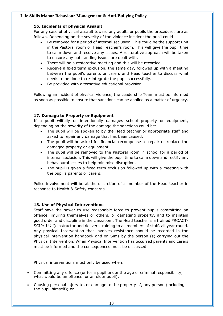## **16. Incidents of physical Assault**

For any case of physical assault toward any adults or pupils the procedures are as follows. Depending on the severity of the violence incident the pupil could:

- Be removed for a period of internal seclusion. This could be the support unit in the Pastoral room or Head Teacher's room. This will give the pupil time to calm down and resolve any issues. A restorative approach will be taken to ensure any outstanding issues are dealt with.
- There will be a restorative meeting and this will be recorded.
- Receive a fixed term exclusion, the same day, followed up with a meeting between the pupil's parents or carers and Head teacher to discuss what needs to be done to re-integrate the pupil successfully.
- Be provided with alternative educational provision.

Following an incident of physical violence, the Leadership Team must be informed as soon as possible to ensure that sanctions can be applied as a matter of urgency.

# **17. Damage to Property or Equipment**

If a pupil wilfully or intentionally damages school property or equipment, depending on the severity of the damage the sanctions could be:

- The pupil will be spoken to by the Head teacher or appropriate staff and asked to repair any damage that has been caused.
- The pupil will be asked for financial recompense to repair or replace the damaged property or equipment.
- The pupil will be removed to the Pastoral room in school for a period of internal seclusion. This will give the pupil time to calm down and rectify any behavioural issues to help minimise disruption.
- The pupil is given a fixed term exclusion followed up with a meeting with the pupil's parents or carers.

Police involvement will be at the discretion of a member of the Head teacher in response to Health & Safety concerns.

### **18. Use of Physical Interventions**

Staff have the power to use reasonable force to prevent pupils committing an offence, injuring themselves or others, or damaging property, and to maintain good order and discipline in the classroom. The Head teacher is a trained PROACT-SCIPr-UK ® instructor and delivers training to all members of staff, all year round. Any physical Intervention that involves resistance should be recorded in the physical intervention handbook and on Sims by the person (s) carrying out the Physical Intervention. When Physical Intervention has occurred parents and carers must be informed and the consequences must be discussed.

Physical interventions must only be used when:

- Committing any offence (or for a pupil under the age of criminal responsibility, what would be an offence for an older pupil);
- Causing personal injury to, or damage to the property of, any person (including the pupil himself); or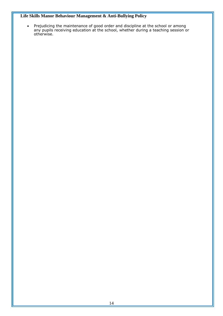• Prejudicing the maintenance of good order and discipline at the school or among any pupils receiving education at the school, whether during a teaching session or otherwise.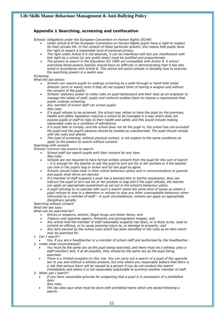### **Appendix 1 Searching, screening and confiscation**

*Schools' obligations under the European Convention on Human Rights (ECHR)*

- *Under article 8 of the European Convention on Human Rights pupils have a right to respect for their private life. In the context of these particular powers, this means that pupils have the right to expect a reasonable level of personal privacy.*
- *The right under Article 8 is not absolute, it can be interfered with but any interference with this right by a school (or any public body) must be justified and proportionate.*
- *The powers to search in the Education Act 1996 are compatible with Article 8. A school exercising those powers lawfully should have no difficulty in demonstrating that it has also acted in accordance with Article 8. This advice will assist schools in deciding how to exercise the searching powers in a lawful way.*

#### *Screening*

*What the law allows:* 

- *Schools can require pupils to undergo screening by a walk-through or hand-held metal detector (arch or wand) even if they do not suspect them of having a weapon and without the consent of the pupils.*
- *Schools' statutory power to make rules on pupil behaviour2 and their duty as an employer to manage the safety of staff, pupils and visitors3 enables them to impose a requirement that pupils undergo screening.*
- *Any member of school staff can screen pupils.*
- *Also note:*
- *If a pupil refuses to be screened, the school may refuse to have the pupil on the premises. Health and safety legislation requires a school to be managed in a way which does not expose pupils or staff to risks to their health and safety and this would include making reasonable rules as a condition of admittance.*
- *If a pupil fails to comply, and the school does not let the pupil in, the school has not excluded the pupil and the pupil's absence should be treated as unauthorised. The pupil should comply with the rules and attend.*
- *This type of screening, without physical contact, is not subject to the same conditions as apply to the powers to search without consent.*

*Searching with consent*

*Schools' common law powers to search:*

- *School staff can search pupils with their consent for any item. Also note:*
- *Schools are not required to have formal written consent from the pupil for this sort of search – it is enough for the teacher to ask the pupil to turn out his or her pockets or if the teacher can look in the pupil's bag or locker and for the pupil to agree.*
- *Schools should make clear in their school behaviour policy and in communications to parents and pupils what items are banned.*
- *If a member of staff suspects a pupil has a banned item in his/her possession, they can instruct the pupil to turn out his or her pockets or bag and if the pupil refuses, the teacher can apply an appropriate punishment as set out in the school's behaviour policy.*
- *A pupil refusing to co-operate with such a search raises the same kind of issues as where a pupil refuses to stay in a detention or refuses to stop any other unacceptable behaviour when instructed by a member of staff – in such circumstances, schools can apply an appropriate disciplinary penalty*

#### *Searching without consent*

*What the law says:*

*What can be searched for?* 

- *Knives or weapons, alcohol, illegal drugs and stolen items; and*
- *Tobacco and cigarette papers, fireworks and pornographic images; and*
- *Any article that the member of staff reasonably suspects has been, or is likely to be, used to commit an offence, or to cause personal injury to, or damage to property; and*
- *Any item banned by the school rules which has been identified in the rules as an item which may be searched for.*
- *1. Can I search?*
- *Yes, if you are a headteacher or a member of school staff and authorised by the headteacher. 2. Under what circumstances?* 
	- *You must be the same sex as the pupil being searched; and there must be a witness (also a staff member) and, if at all possible, they should be the same sex as the pupil being searched.*
	- *There is a limited exception to this rule. You can carry out a search of a pupil of the opposite sex to you and without a witness present, but only where you reasonably believe that there is a risk that serious harm will be caused to a person if you do not conduct the search immediately and where it is not reasonably practicable to summon another member of staff.*

*3. When can I search?*

- *If you have reasonable grounds for suspecting that a pupil is in possession of a prohibited item. Also note:*
- *The law also says what must be done with prohibited items which are seized following a search.*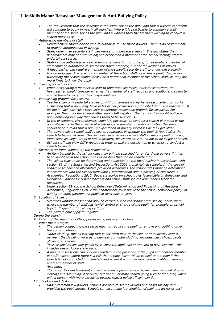- *The requirement that the searcher is the same sex as the pupil and that a witness is present*  will continue to apply in nearly all searches. Where it is practicable to summon a staff *member of the same sex as the pupil and a witness then the teachers wishing to conduct a search must do so.*
- *4. Authorising members of staff* 
	- *Headteachers should decide who to authorise to use these powers. There is no requirement to provide authorisation in writing.*
	- *Staff, other than security staff, can refuse to undertake a search. The law states that headteachers may not require anyone other than a member of the school security staff to undertake a search.*
	- *Staff can be authorised to search for some items but not others; for example, a member of staff could be authorised to search for stolen property, but not for weapons or knives.*
	- *A headteacher can require a member of the school's security staff to undertake a search.* • *If a security guard, who is not a member of the school staff, searches a pupil, the person witnessing the search should ideally be a permanent member of the school staff, as they are*
- *more likely to know the pupil. 5. Training for school staff* 
	- *When designating a member of staff to undertake searches under these powers, the headteacher should consider whether the member of staff requires any additional training to enable them to carry out their responsibilities.*
- *6. Establishing grounds for a search* 
	- *Teachers can only undertake a search without consent if they have reasonable grounds for suspecting that a pupil may have in his or her possession a prohibited item. The teacher must decide in each particular case what constitutes reasonable grounds for suspicion. For example, they may have heard other pupils talking about the item or they might notice a pupil behaving in a way that causes them to be suspicious.*
	- *In the exceptional circumstances when it is necessary to conduct a search of a pupil of the opposite sex or in the absence of a witness, the member of staff conducting the search should bear in mind that a pupil's expectation of privacy increases as they get older.*
	- *The powers allow school staff to search regardless of whether the pupil is found after the*  search to have that item. This includes circumstances where staff suspect a pupil of having *items such as illegal drugs or stolen property which are later found not to be illegal or stolen.*
	- *School staff can view CCTV footage in order to make a decision as to whether to conduct a search for an item .*
- *7. Searches for items banned by the school rules* 
	- *An item banned by the school rules may only be searched for under these powers if it has been identified in the school rules as an item that can be searched for.*
	- *The school rules must be determined and publicised by the headteacher in accordance with section 89 of the Education and Inspections Act 2006 in maintained schools. In the case of academy schools and alternative provision academies, the school rules must be determined in accordance with the School Behaviour (Determination and Publicising of Measures in Academies) Regulations 2012. Separate advice on school rules is available in 'Behaviour and Discipline – advice for 9 headteachers and school staff' via the link under Associated Resources.*
	- *Under section 89 and the School Behaviour (Determination and Publicising of Measures in Academies) Regulations 2012 the headteacher must publicise the school behaviour policy, in writing, to staff, parents and pupils at least once a year.*
- *8. Location of a search* 
	- *Searches without consent can only be carried out on the school premises or, if elsewhere, where the member of staff has lawful control or charge of the pupil, for example on school trips in England or in training settings.*
	- *The powers only apply in England.*
- *During the search*
- *9. Extent of the search – clothes, possessions, desks and lockers* 
	- *What the law says:*
	- *The person conducting the search may not require the pupil to remove any clothing other than outer clothing.*
	- *'Outer clothing' means clothing that is not worn next to the skin or immediately over a garment that is being worn as underwear but 'outer clothing' includes hats; shoes; boots; gloves and scarves.*
	- *'Possessions' means any goods over which the pupil has or appears to have control – this includes desks, lockers and bags.*
	- *A pupil's possessions can only be searched in the presence of the pupil and another member of staff, except where there is a risk that serious harm will be caused to a person if the search is not conducted immediately and where it is not reasonably practicable to summon another member of staff. Also note:*
	- *The power to search without consent enables a personal search, involving removal of outer clothing and searching of pockets; but not an intimate search going further than that, which only a person with more extensive powers (e.g. a police officer) can do.*
- *10. Lockers and desks* 
	- *Under common law powers, schools are able to search lockers and desks for any item provided the pupil agrees. Schools can also make it a condition of having a locker or desk*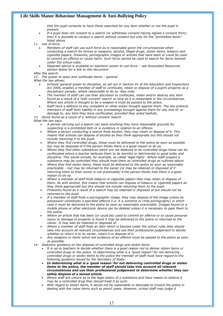*that the pupil consents to have these searched for any item whether or not the pupil is present.* 

- *If a pupil does not consent to a search (or withdraws consent having signed a consent form) then it is possible to conduct a search without consent but only for the "prohibited items" listed above.*
- *11. Use of force*
	- *Members of staff can use such force as is reasonable given the circumstances when conducting a search for knives or weapons, alcohol, illegal drugs, stolen items, tobacco and cigarette papers, fireworks, pornographic images or articles that have been or could be used to commit an offence or cause harm. Such force cannot be used to search for items banned under the school rules.*
	- *Separate advice is available on teachers' power to use force – see Associated Resources section below for a link to this document*
- *After the search*

12. The power to seize and confiscate items – general

- *What the law allows:* 
	- *Schools' general power to discipline, as set out in Section 91 of the Education and Inspections Act 2006, enables a member of staff to confiscate, retain or dispose of a pupil's property as a disciplinary penalty, where reasonable to do so. Also note:*
	- *The member of staff can use their discretion to confiscate, retain and/or destroy any item found as a result of a 'with consent' search so long as it is reasonable in the circumstances. Where any article is thought to be a weapon it must be passed to the police.*
	- *Staff have a defence to any complaint or other action brought against them. The law protects members of staff from liability in any proceedings brought against them for any loss of, or damage to, any item they have confiscated, provided they acted lawfully.*
- *13. Items found as a result of a 'without consent' search*

*What the law says:*

- *A person carrying out a search can seize anything they have reasonable grounds for suspecting is a prohibited item or is evidence in relation to an offence.*
- *Where a person conducting a search finds alcohol, they may retain or dispose of it. This means that schools can dispose of alcohol as they think appropriate but this should not include returning it to the pupil.*
- *Where they find controlled drugs, these must be delivered to the police as soon as possible but may be disposed of if the person thinks there is a good reason to do so.*
- *Where they find other substances which are not believed to be controlled drugs these can be confiscated where a teacher believes them to be harmful or detrimental to good order and discipline. This would include, for example, so called 'legal highs'. Where staff suspect a substance may be controlled they should treat them as controlled drugs as outlined above.*
- *Where they find stolen items, these must be delivered to the police as soon as reasonably practicable – but may be returned to the owner (or may be retained or disposed of if returning them to their owner is not practicable) if the person thinks that there is a good reason to do so.*
- *Where a member of staff finds tobacco or cigarette papers they may retain or dispose of them. As with alcohol, this means that schools can dispose of tobacco or cigarette papers as they think appropriate but this should not include returning them to the pupil.*
- *Fireworks found as a result of a search may be retained or disposed of but should not be returned to the pupil.*
- *If a member of staff finds a pornographic image, they may dispose of the image unless its possession constitutes a specified offence (i.e. it is extreme or child pornography) in which case it must be delivered to the police as soon as reasonably practicable. Images found on a mobile phone or other electronic device can be deleted unless it is necessary to pass them to the police.*
- *Where an article that has been (or could be) used to commit an offence or to cause personal injury or damage to property is found it may be delivered to the police or returned to the owner. It may also be retained or disposed of.*
- *Where a member of staff finds an item which is banned under the school rules they should take into account all relevant circumstances and use their professional judgement to decide whether to return it to its owner, retain it or dispose of it.*
- *Any weapons or items which are evidence of an offence must be passed to the police as soon as possible.*
- *14. Statutory guidance on the disposal of controlled drugs and stolen items* 
	- *It is up to teachers to decide whether there is a good reason not to deliver stolen items or controlled drugs to the police. In determining what is a "good reason" for not delivering controlled drugs or stolen items to the police the member of staff must have regard to the following guidance issued by the Secretary of State:*
	- *In determining what is a 'good reason' for not delivering controlled drugs or stolen items to the police, the member of staff should take into account all relevant circumstances and use their professional judgement to determine whether they can safely dispose of a seized article.*
	- *Where staff are unsure as to the legal status of a substance and have reason to believe it may be a controlled drug they should treat it as such.*
	- *With regard to stolen items, it would not be reasonable or desirable to involve the police in dealing with low value items such as pencil cases. However, school staff may judge it*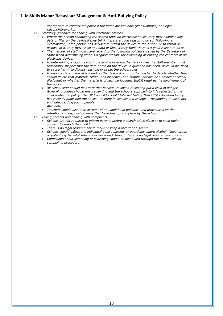*appropriate to contact the police if the items are valuable (iPods/laptops) or illegal (alcohol/fireworks).* 

- *15. Statutory guidance for dealing with electronic devices* 
	- *Where the person conducting the search finds an electronic device they may examine any data or files on the device if they think there is a good reason to do so. Following an examination, if the person has decided to return the device to the owner, or to retain or dispose of it, they may erase any data or files, if they think there is a good reason to do so.*
	- *The member of staff must have regard to the following guidance issued by the Secretary of State when determining what is a "good reason" for examining or erasing the contents of an electronic device:*
	- *In determining a 'good reason' to examine or erase the data or files the staff member must reasonably suspect that the data or file on the device in question has been, or could be, used to cause harm, to disrupt teaching or break the school rules.*
	- *If inappropriate material is found on the device it is up to the teacher to decide whether they should delete that material, retain it as evidence (of a criminal offence or a breach of school discipline) or whether the material is of such seriousness that it requires the involvement of the police.*
	- *All school staff should be aware that behaviours linked to sexting put a child in danger.*  Governing bodies should ensure sexting and the school's approach to it is reflected in the *child protection policy. The UK Council for Child Internet Safety (UKCCIS) Education Group has recently published the advice - sexting in schools and colleges - responding to incidents and safeguarding young people*
	- *Also note:*
	- *Teachers should also take account of any additional guidance and procedures on the retention and disposal of items that have been put in place by the school.*
- *16. Telling parents and dealing with complaints* 
	- *Schools are not required to inform parents before a search takes place or to seek their consent to search their child.* 
		- *There is no legal requirement to make or keep a record of a search.*
		- *Schools should inform the individual pupil's parents or guardians where alcohol, illegal drugs or potentially harmful substances are found, though there is no legal requirement to do so.*
		- *Complaints about screening or searching should be dealt with through the normal school complaints procedure.*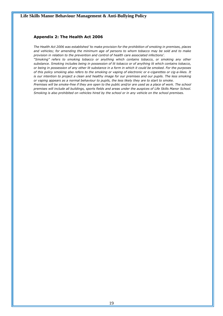### **Appendix 2: The Health Act 2006**

*The Health Act 2006 was established 'to make provision for the prohibition of smoking in premises, places and vehicles; for amending the minimum age of persons to whom tobacco may be sold and to make provision in relation to the prevention and control of health care associated infections'.* 

*"Smoking" refers to smoking tobacco or anything which contains tobacco, or smoking any other substance. Smoking includes being in possession of lit tobacco or of anything lit which contains tobacco, or being in possession of any other lit substance in a form in which it could be smoked. For the purposes of this policy smoking also refers to the smoking or vaping of electronic or e-cigarettes or cig-a-likes. It is our intention to project a clean and healthy image for our premises and our pupils. The less smoking or vaping appears as a normal behaviour to pupils, the less likely they are to start to smoke.* 

*Premises will be smoke-free if they are open to the public and/or are used as a place of work. The school premises will include all buildings, sports fields and areas under the auspices of Life Skills Manor School. Smoking is also prohibited on vehicles hired by the school or in any vehicle on the school premises.*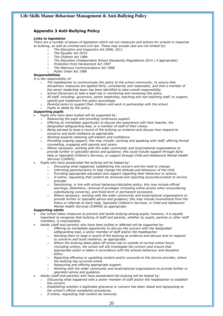### **Appendix 3 Anti-Bullying Policy**

#### *Links to legislation*

*There are a number of pieces of legislation which set out measures and actions for schools in response to bullying, as well as criminal and civil law. These may include (but are not limited to):*

- o *The Education and Inspection Act 2006, 2011*
	- o *The Equality Act 2010*
	- o *The Children Act 1989*
	- o *The Education (Independent School Standards) Regulations 2014 ( if appropriate)*
	- o *Protection from Harassment Act 1997*
	- o *The Malicious Communications Act 1988*
	- o *Public Order Act 1986*

### *Responsibilities*

*It is the responsibility of:* 

- o *The headteacher to communicate this policy to the school community, to ensure that disciplinary measures are applied fairly, consistently and reasonably, and that a member of the senior leadership team has been identified to take overall responsibility.*
- o *School Governors to take a lead role in monitoring and reviewing this policy.*
- o *All staff, including: governors, senior leadership, teaching and non-teaching staff, to support, uphold and implement this policy accordingly.*
- o *Parents/carers to support their children and work in partnership with the school.*
- Pupils to abide by the policy.

#### *Supporting pupils*

- *Pupils who have been bullied will be supported by:*
- o *Reassuring the pupil and providing continuous support.*
- o *Offering an immediate opportunity to discuss the experience with their teacher, the designated safeguarding lead, or a member of staff of their choice.*
- o *Being advised to keep a record of the bullying as evidence and discuss how respond to concerns and build resilience as appropriate.*
- o *Working towards restoring self-esteem and confidence.*
- o *Providing ongoing support; this may include: working and speaking with staff, offering formal counselling, engaging with parents and carers.*
- o *Where necessary, working with the wider community and local/national organisations to provide further or specialist advice and guidance; this could include support through Early Help or Specialist Children's Services, or support through Child and Adolescent Mental Health Services (CAMHS).*
- *Pupils who have perpetrated the bullying will be helped by:*
	- o *Discussing what happened, establishing the concern and the need to change.*
	- o *Informing parents/carers to help change the attitude and behaviour of the child.*
	- o *Providing appropriate education and support regarding their behaviour or actions.*
	- o *If online, requesting that content be removed and reporting accounts/content to service provider.*
	- o *Sanctioning, in line with school behaviour/discipline policy; this may include official warnings, detentions, removal of privileges (including online access when encountering cyberbullying concerns), and fixed-term or permanent exclusions.*
	- o *Where necessary, working with the wider community and local/national organisations to provide further or specialist advice and guidance; this may include involvement from the Police or referrals to Early Help, Specialist Children's Services, or Child and Adolescent Mental Health Services (CAMHS) as appropriate.*

*Supporting adults* 

- *Our school takes measures to prevent and tackle bullying among pupils; however, it is equally important to recognise that bullying of staff and parents, whether by pupils, parents or other staff members, is unacceptable.*
- *Adults (staff and parents) who have been bullied or affected will be supported by:*
	- o *Offering an immediate opportunity to discuss the concern with the designated* 
		- *safeguarding lead, a senior member of staff and/or the headteacher.* o *Advising them to keep a record of the bullying as evidence and discuss how to respond*
		- *to concerns and build resilience, as appropriate.*
		- o *Where the bullying takes place off school site or outside of normal school hours (including online), the school will still investigate the concern and ensure that appropriate action is taken in accordance with the schools behaviour and discipline policy.*
		- o *Reporting offensive or upsetting content and/or accounts to the service provider, where the bullying has occurred online.*
		- o *Reassuring and offering appropriate support.*
		- Working with the wider community and local/national organisations to provide further or *specialist advice and guidance.*
	- *Adults (staff and parents) who have perpetrated the bullying will be helped by:*
	- o *Discussing what happened with a senior member of staff and/or the headteacher to establish the concern.*
	- o *Establishing whether a legitimate grievance or concern has been raised and signposting to the school's official complaints procedures.*
	- o *If online, requesting that content be removed.*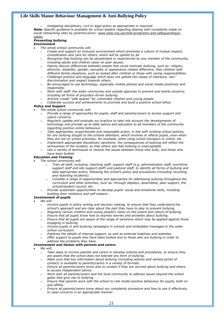Instigating disciplinary, civil or legal action as appropriate or required. *Note: Specific guidance is available for school leaders regarding dealing with complaints made on social networking sites by parents/carers: [www.kelsi.org.uk/child-protection-and-safeguarding/e](http://www.kelsi.org.uk/child-protection-and-safeguarding/e-safety)[safety](http://www.kelsi.org.uk/child-protection-and-safeguarding/e-safety)*

#### *Preventing bullying Environment*

- *The whole school community will:* 
	- o *Create and support an inclusive environment which promotes a culture of mutual respect, consideration and care for others, which will be upheld by all.*
	- o *Recognise that bullying can be perpetrated or experienced by any member of the community, including adults and children (peer on peer abuse).*
	- o *Openly discuss differences between people that could motivate bullying, such as: religion, ethnicity, disability, gender, sexuality or appearance related difference. Also children with different family situations, such as looked after children or those with caring responsibilities.*
	- o *Challenge practice and language which does not uphold the values of tolerance, nondiscrimination and respect towards others.*
	- o *Be encouraged to use technology, especially mobile phones and social media positively and responsibly.*
	- o *Work with staff, the wider community and outside agencies to prevent and tackle concerns including all forms of prejudice-driven bullying.*
	- o *Actively create "safe spaces" for vulnerable children and young people.*
	- o *Celebrate success and achievements to promote and build a positive school ethos.*

#### *Policy and Support*

- *The whole school community will:*
- o *Provide a range of approaches for pupils, staff and parents/carers to access support and report concerns.*
- o *Regularly update and evaluate our practice to take into account the developments of technology and provide up-to-date advice and education to all members of the community regarding positive online behaviour.*
- o *Take appropriate, proportionate and reasonable action, in line with existing school policies, for any bullying bought to the schools attention, which involves or effects pupils, even when they are not on school premises; for example, when using school transport or online, etc.*
- o *Implement appropriate disciplinary sanctions; the consequences of bullying will reflect the seriousness of the incident, so that others see that bullying is unacceptable.*
- o *Use a variety of techniques to resolve the issues between those who bully, and those who have been bullied.*

### *Education and Training*

- *The school community will:* 
	- o *Train all staff, including: teaching staff, support staff (e.g. administration staff, lunchtime support staff and site support staff) and pastoral staff, to identify all forms of bullying and take appropriate action, following the school's policy and procedures (including recording and reporting incidents).*
	- o *Consider a range of opportunities and approaches for addressing bullying throughout the curriculum and other activities, such as: through displays, assemblies, peer support, the school/student council, etc.*
	- o *Provide systematic opportunities to develop pupils' social and emotional skills, including building their resilience and self-esteem.*

#### *Involvement of pupils*

• *We will:* 

- o *Involve pupils in policy writing and decision making, to ensure that they understand the school's approach and are clear about the part they have to play to prevent bullying.*
- o *Regularly canvas children and young people's views on the extent and nature of bullying.*
- Ensure that all pupils know how to express worries and anxieties about bullying.
- o *Ensure that all pupils are aware of the range of sanctions which may be applied against those engaging in bullying.*
- o *Involve pupils in anti-bullying campaigns in schools and embedded messages in the wider school curriculum.*
- o *Publicise the details of internal support, as well as external helplines and websites.*
- o *Offer support to pupils who have been bullied and to those who are bullying in order to address the problems they have.*

### *Involvement and liaison with parents and carers*

- *We will:* 
	- o *Take steps to involve parents and carers in develop policies and procedures, to ensure they are aware that the school does not tolerate any form of bullying.*
	- o *Make sure that key information about bullying (including policies and named points of contact) is available to parents/carers in a variety of formats.*
	- o *Ensure all parents/carers know who to contact if they are worried about bullying and where to access independent advice.*
	- o *Work with all parents/carers and the local community to address issues beyond the school gates that give rise to bullying.*
	- o *Ensure that parents work with the school to role model positive behaviour for pupils, both on and offline.*
	- o *Ensure all parents/carers know about our complaints procedure and how to use it effectively, to raise concerns in an appropriate manner.*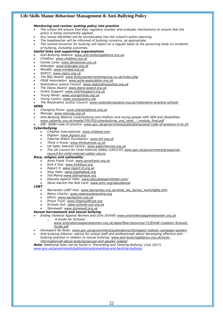#### *Monitoring and review: putting policy into practice*

- *The school will ensure that they regularly monitor and evaluate mechanisms to ensure that the policy is being consistently applied.*
- *Any issues identified will be incorporated into the school's action planning.*
- *The headteacher will be informed of bullying concerns, as appropriate.*
- *The named Governor for bullying will report on a regular basis to the governing body on incidents of bullying, including outcomes.*
- *Useful links and supporting organisations*
- *Anti-Bullying Alliance: [www.anti-bullyingalliance.org.uk](http://www.anti-bullyingalliance.org.uk/)*
- *Childline: [www.childline.org.uk](http://www.childline.org.uk/)*
- *Family Lives: [www.familylives.org.uk](http://www.familylives.org.uk/)*
- *Kidscape: [www.kidscape.org.uk](http://www.kidscape.org.uk/)*
- *MindEd: [www.minded.org.uk](http://www.minded.org.uk/)*
- *NSPCC: [www.nspcc.org.uk](http://www.nspcc.org.uk/)*
- *The BIG Award: [www.bullyinginterventiongroup.co.uk/index.php](https://www.bullyinginterventiongroup.co.uk/index.php)*
- *PSHE Association: [www.pshe-association.org.uk](http://www.pshe-association.org.uk/)*
- *Restorative Justice Council: [www.restorativejustice.org.uk](http://www.restorativejustice.org.uk/)*
- *The Diana Award: [www.diana-award.org.uk](http://www.diana-award.org.uk/)*
- *Victim Support: [www.victimsupport.org.uk](http://www.victimsupport.org.uk/)*
- *Young Minds: [www.youngminds.org.uk](http://www.youngminds.org.uk/)*
- *Young Carers: [www.youngcarers.net](http://www.youngcarers.net/)*
- *The Restorative Justice Council: [www.restorativejustice.org.uk/restorative-practice-schools](http://www.restorativejustice.org.uk/restorative-practice-schools)*

#### *SEND*

- *Changing Faces: [www.changingfaces.org.uk](http://www.changingfaces.org.uk/)*
- *Mencap: [www.mencap.org.uk](http://www.mencap.org.uk/)*
- *Anti-Bullying Alliance Cyberbullying and children and young people with SEN and disabilities: [www.cafamily.org.uk/media/750755/cyberbullying\\_and\\_send\\_-\\_module\\_final.pdf](http://www.cafamily.org.uk/media/750755/cyberbullying_and_send_-_module_final.pdf)*
- *DfE: SEND code of practice: [www.gov.uk/government/publications/send-code-of-practice-0-to-25](https://www.gov.uk/government/publications/send-code-of-practice-0-to-25)*

#### *Cyberbullying*

- *Childnet International: [www.childnet.com](http://www.childnet.com/)*
- *Digizen: [www.digizen.org](http://www.digizen.org/)*
- *Internet Watch Foundation: [www.iwf.org.uk](http://www.iwf.org.uk/)*
- *Think U Know: [www.thinkuknow.co.uk](http://www.thinkuknow.co.uk/)*
- *UK Safer Internet Centre: [www.saferinternet.org.uk](http://www.saferinternet.org.uk/)*
- *The UK Council for Child Internet Safety (UKCCIS) [www.gov.uk/government/groups/uk-](http://www.gov.uk/government/groups/uk-council-for-child-internet-safety-ukccis)*
- *[council-for-child-internet-safety-ukccis](http://www.gov.uk/government/groups/uk-council-for-child-internet-safety-ukccis)*

#### *Race, religion and nationality*

- *Anne Frank Trust: [www.annefrank.org.uk](http://www.annefrank.org.uk/)*
- *Kick it Out: [www.kickitout.org](http://www.kickitout.org/)*
- *Report it: [www.report-it.org.uk](http://www.report-it.org.uk/)*
- *Stop Hate: [www.stophateuk.org](http://www.stophateuk.org/)*
- *Tell Mama[:www.tellmamauk.org](http://www.tellmamauk.org/)*
- *Educate against Hate: [www.educateagainsthate.com/](http://www.educateagainsthate.com/)*
- *Show Racism the Red Card: [www.srtrc.org/educational](http://www.srtrc.org/educational)*

#### *LGBT*

- *Barnardos LGBT Hub: [www.barnardos.org.uk/what\\_we\\_do/our\\_work/lgbtq.htm](http://www.barnardos.org.uk/what_we_do/our_work/lgbtq.htm)*
- *Metro Charity: [www.metrocentreonline.org](http://www.metrocentreonline.org/)*
- *EACH: [www.eachaction.org.uk](http://www.eachaction.org.uk/)*
- *Proud Trust: [www.theproudtrust.org](http://www.theproudtrust.org/)*
- *Schools Out: [www.schools-out.org.uk](http://www.schools-out.org.uk/)*
- *Stonewall: [www.stonewall.org.uk](http://www.stonewall.org.uk/)*

#### *Sexual harrassment and sexual bullying*

- *Ending Violence Against Women and Girls (EVAW) [www.endviolenceagainstwomen.org.uk](http://www.endviolenceagainstwomen.org.uk/)*
- o *A Guide for Schools:* 
	- *[www.endviolenceagainstwomen.org.uk/data/files/resources/71/EVAW-Coalition-Schools-](http://www.endviolenceagainstwomen.org.uk/data/files/resources/71/EVAW-Coalition-Schools-Guide.pdf)[Guide.pdf](http://www.endviolenceagainstwomen.org.uk/data/files/resources/71/EVAW-Coalition-Schools-Guide.pdf)*
- *Disrespect No Body: [www.gov.uk/government/publications/disrespect-nobody-campaign-posters](http://www.gov.uk/government/publications/disrespect-nobody-campaign-posters)*
- *Anti-bullying Alliance: advice for school staff and professionals about developing effective antibullying practice in relation to sexual bullying: [www.anti-bullyingalliance.org.uk/tools](https://www.anti-bullyingalliance.org.uk/tools-information/all-about-bullying/sexual-and-gender-related)[information/all-about-bullying/sexual-and-gender-related](https://www.anti-bullyingalliance.org.uk/tools-information/all-about-bullying/sexual-and-gender-related)*

*Note: Additional links can be found in 'Preventing and Tackling Bullying' (July 2017) [www.gov.uk/government/publications/preventing-and-tackling-bullying](http://www.gov.uk/government/publications/preventing-and-tackling-bullying)*